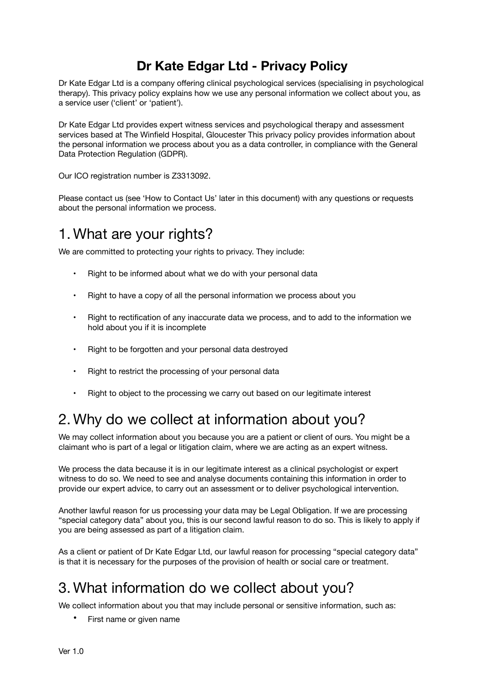### **Dr Kate Edgar Ltd - Privacy Policy**

Dr Kate Edgar Ltd is a company offering clinical psychological services (specialising in psychological therapy). This privacy policy explains how we use any personal information we collect about you, as a service user ('client' or 'patient').

Dr Kate Edgar Ltd provides expert witness services and psychological therapy and assessment services based at The Winfield Hospital, Gloucester This privacy policy provides information about the personal information we process about you as a data controller, in compliance with the General Data Protection Regulation (GDPR).

Our ICO registration number is Z3313092.

Please contact us (see 'How to Contact Us' later in this document) with any questions or requests about the personal information we process.

### 1. What are your rights?

We are committed to protecting your rights to privacy. They include:

- Right to be informed about what we do with your personal data
- Right to have a copy of all the personal information we process about you
- Right to rectification of any inaccurate data we process, and to add to the information we hold about you if it is incomplete
- Right to be forgotten and your personal data destroyed
- Right to restrict the processing of your personal data
- Right to object to the processing we carry out based on our legitimate interest

## 2. Why do we collect at information about you?

We may collect information about you because you are a patient or client of ours. You might be a claimant who is part of a legal or litigation claim, where we are acting as an expert witness.

We process the data because it is in our legitimate interest as a clinical psychologist or expert witness to do so. We need to see and analyse documents containing this information in order to provide our expert advice, to carry out an assessment or to deliver psychological intervention.

Another lawful reason for us processing your data may be Legal Obligation. If we are processing "special category data" about you, this is our second lawful reason to do so. This is likely to apply if you are being assessed as part of a litigation claim.

As a client or patient of Dr Kate Edgar Ltd, our lawful reason for processing "special category data" is that it is necessary for the purposes of the provision of health or social care or treatment.

# 3. What information do we collect about you?

We collect information about you that may include personal or sensitive information, such as:

• First name or given name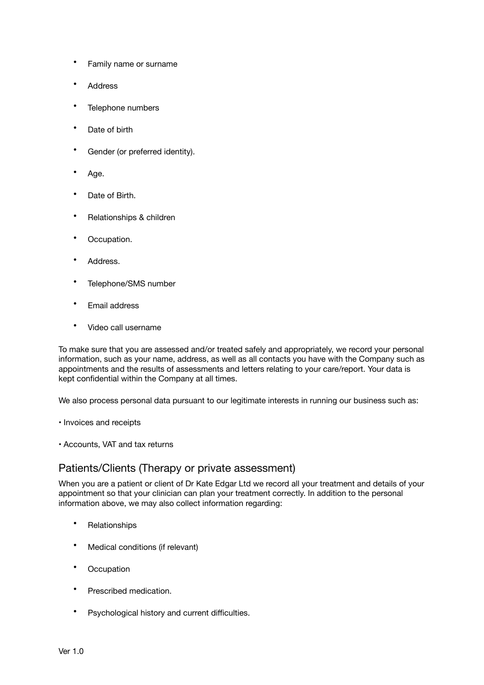- Family name or surname
- **Address**
- Telephone numbers
- Date of birth
- Gender (or preferred identity).
- Age.
- Date of Birth.
- Relationships & children
- Occupation.
- Address.
- Telephone/SMS number
- Email address
- Video call username

To make sure that you are assessed and/or treated safely and appropriately, we record your personal information, such as your name, address, as well as all contacts you have with the Company such as appointments and the results of assessments and letters relating to your care/report. Your data is kept confidential within the Company at all times.

We also process personal data pursuant to our legitimate interests in running our business such as:

- Invoices and receipts
- Accounts, VAT and tax returns

### Patients/Clients (Therapy or private assessment)

When you are a patient or client of Dr Kate Edgar Ltd we record all your treatment and details of your appointment so that your clinician can plan your treatment correctly. In addition to the personal information above, we may also collect information regarding:

- Relationships
- Medical conditions (if relevant)
- **Occupation**
- Prescribed medication.
- Psychological history and current difficulties.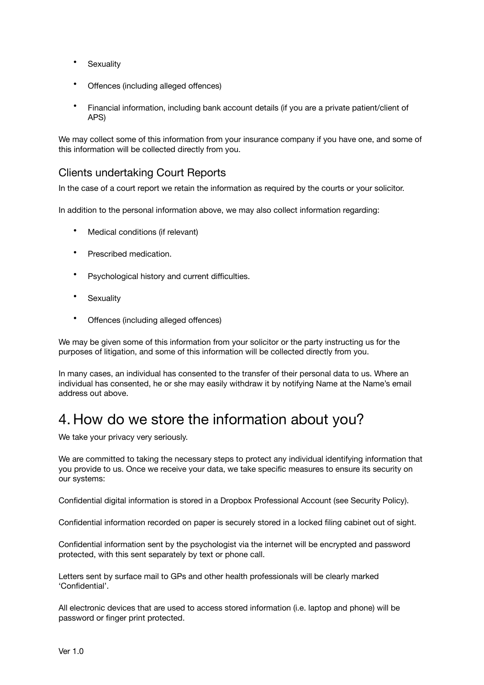- Sexuality
- Offences (including alleged offences)
- Financial information, including bank account details (if you are a private patient/client of APS)

We may collect some of this information from your insurance company if you have one, and some of this information will be collected directly from you.

### Clients undertaking Court Reports

In the case of a court report we retain the information as required by the courts or your solicitor.

In addition to the personal information above, we may also collect information regarding:

- Medical conditions (if relevant)
- Prescribed medication.
- Psychological history and current difficulties.
- Sexuality
- Offences (including alleged offences)

We may be given some of this information from your solicitor or the party instructing us for the purposes of litigation, and some of this information will be collected directly from you.

In many cases, an individual has consented to the transfer of their personal data to us. Where an individual has consented, he or she may easily withdraw it by notifying Name at the Name's email address out above.

## 4. How do we store the information about you?

We take your privacy very seriously.

We are committed to taking the necessary steps to protect any individual identifying information that you provide to us. Once we receive your data, we take specific measures to ensure its security on our systems:

Confidential digital information is stored in a Dropbox Professional Account (see Security Policy).

Confidential information recorded on paper is securely stored in a locked filing cabinet out of sight.

Confidential information sent by the psychologist via the internet will be encrypted and password protected, with this sent separately by text or phone call.

Letters sent by surface mail to GPs and other health professionals will be clearly marked 'Confidential'.

All electronic devices that are used to access stored information (i.e. laptop and phone) will be password or finger print protected.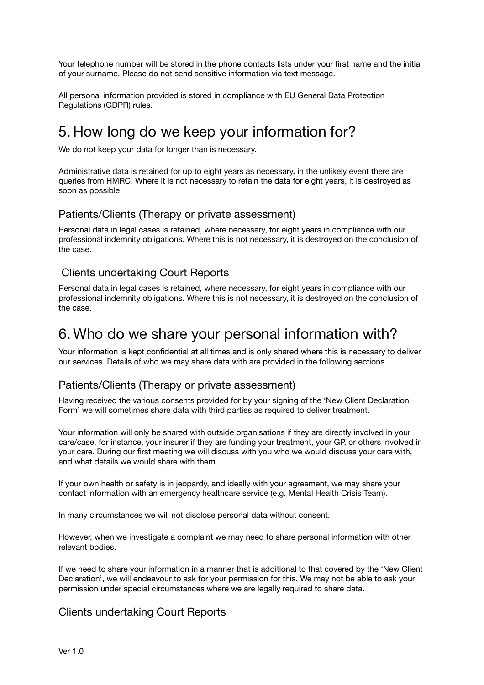Your telephone number will be stored in the phone contacts lists under your first name and the initial of your surname. Please do not send sensitive information via text message.

All personal information provided is stored in compliance with EU General Data Protection Regulations (GDPR) rules.

# 5. How long do we keep your information for?

We do not keep your data for longer than is necessary.

Administrative data is retained for up to eight years as necessary, in the unlikely event there are queries from HMRC. Where it is not necessary to retain the data for eight years, it is destroyed as soon as possible.

#### Patients/Clients (Therapy or private assessment)

Personal data in legal cases is retained, where necessary, for eight years in compliance with our professional indemnity obligations. Where this is not necessary, it is destroyed on the conclusion of the case.

### Clients undertaking Court Reports

Personal data in legal cases is retained, where necessary, for eight years in compliance with our professional indemnity obligations. Where this is not necessary, it is destroyed on the conclusion of the case.

### 6. Who do we share your personal information with?

Your information is kept confidential at all times and is only shared where this is necessary to deliver our services. Details of who we may share data with are provided in the following sections.

### Patients/Clients (Therapy or private assessment)

Having received the various consents provided for by your signing of the 'New Client Declaration Form' we will sometimes share data with third parties as required to deliver treatment.

Your information will only be shared with outside organisations if they are directly involved in your care/case, for instance, your insurer if they are funding your treatment, your GP, or others involved in your care. During our first meeting we will discuss with you who we would discuss your care with, and what details we would share with them.

If your own health or safety is in jeopardy, and ideally with your agreement, we may share your contact information with an emergency healthcare service (e.g. Mental Health Crisis Team).

In many circumstances we will not disclose personal data without consent.

However, when we investigate a complaint we may need to share personal information with other relevant bodies.

If we need to share your information in a manner that is additional to that covered by the 'New Client Declaration', we will endeavour to ask for your permission for this. We may not be able to ask your permission under special circumstances where we are legally required to share data.

### Clients undertaking Court Reports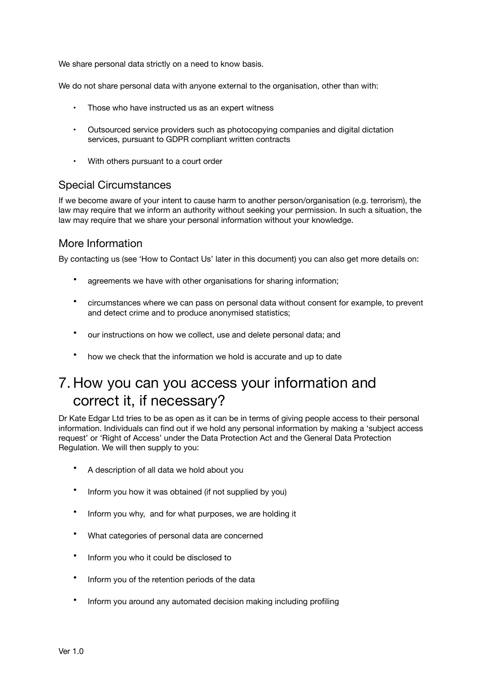We share personal data strictly on a need to know basis.

We do not share personal data with anyone external to the organisation, other than with:

- Those who have instructed us as an expert witness
- Outsourced service providers such as photocopying companies and digital dictation services, pursuant to GDPR compliant written contracts
- With others pursuant to a court order

#### Special Circumstances

If we become aware of your intent to cause harm to another person/organisation (e.g. terrorism), the law may require that we inform an authority without seeking your permission. In such a situation, the law may require that we share your personal information without your knowledge.

### More Information

By contacting us (see 'How to Contact Us' later in this document) you can also get more details on:

- agreements we have with other organisations for sharing information;
- circumstances where we can pass on personal data without consent for example, to prevent and detect crime and to produce anonymised statistics;
- our instructions on how we collect, use and delete personal data; and
- how we check that the information we hold is accurate and up to date

# 7. How you can you access your information and correct it, if necessary?

Dr Kate Edgar Ltd tries to be as open as it can be in terms of giving people access to their personal information. Individuals can find out if we hold any personal information by making a 'subject access request' or 'Right of Access' under the Data Protection Act and the General Data Protection Regulation. We will then supply to you:

- A description of all data we hold about you
- Inform you how it was obtained (if not supplied by you)
- Inform you why, and for what purposes, we are holding it
- What categories of personal data are concerned
- Inform you who it could be disclosed to
- Inform you of the retention periods of the data
- Inform you around any automated decision making including profiling